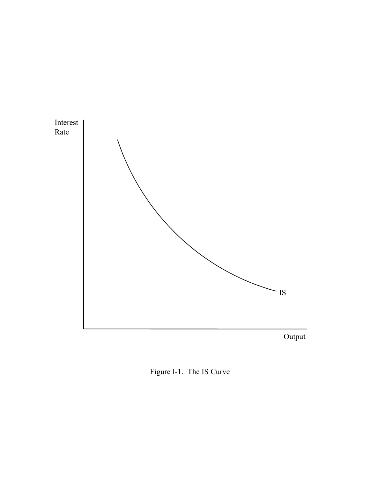

Figure I-1. The IS Curve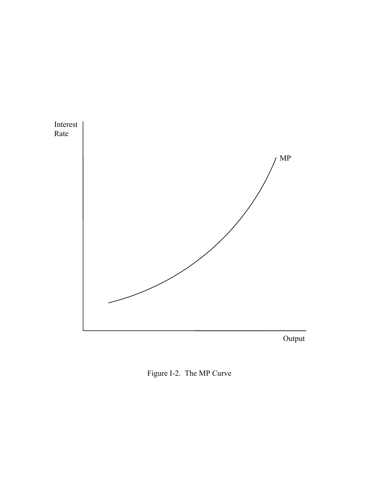

Output

Figure I-2. The MP Curve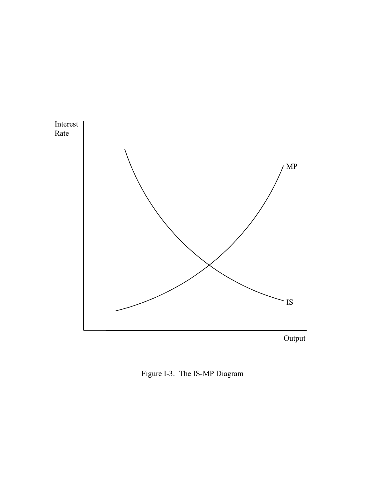

Figure I-3. The IS-MP Diagram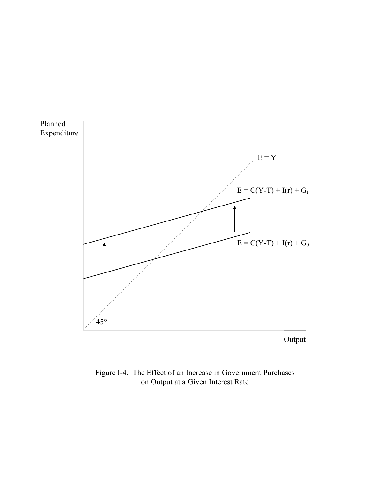

Output

Figure I-4. The Effect of an Increase in Government Purchases on Output at a Given Interest Rate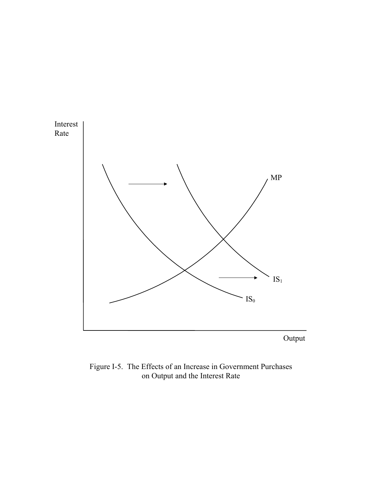

Figure I-5. The Effects of an Increase in Government Purchases on Output and the Interest Rate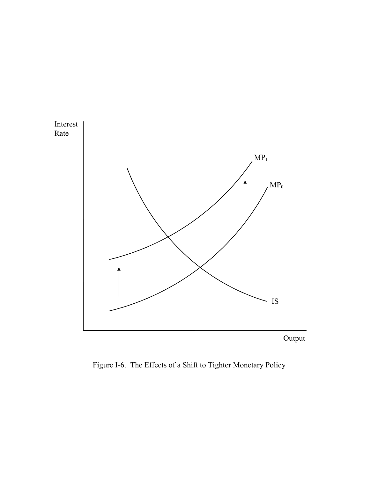

Figure I-6. The Effects of a Shift to Tighter Monetary Policy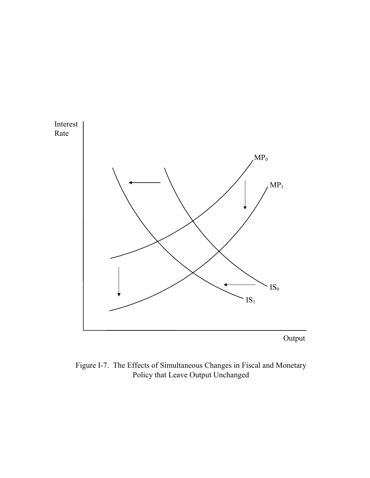

Figure I-7. The Effects of Simultaneous Changes in Fiscal and Monetary Policy that Leave Output Unchanged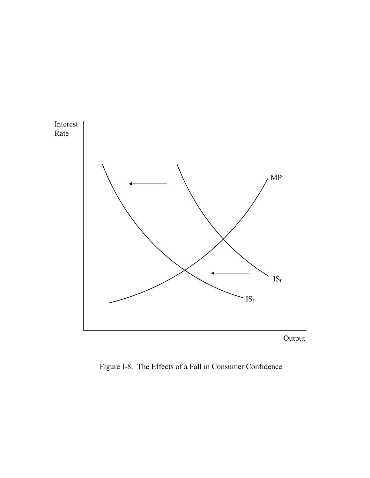

Figure I-8. The Effects of a Fall in Consumer Confidence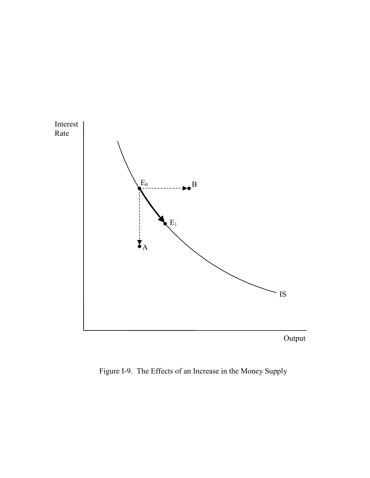

Figure I-9. The Effects of an Increase in the Money Supply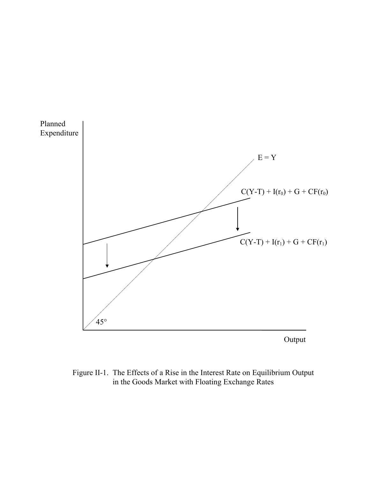

Figure II-1. The Effects of a Rise in the Interest Rate on Equilibrium Output in the Goods Market with Floating Exchange Rates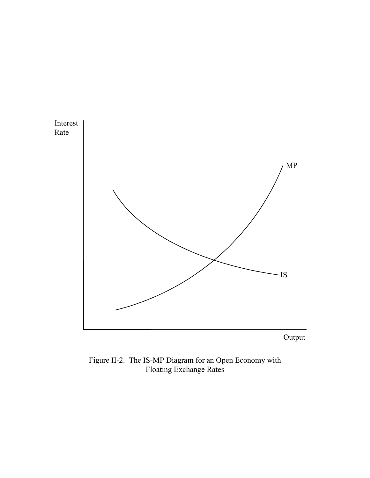

Output

Figure II-2. The IS-MP Diagram for an Open Economy with Floating Exchange Rates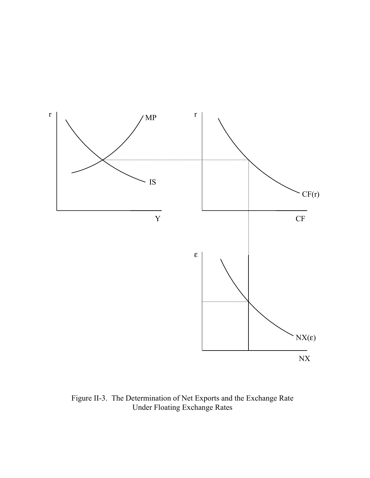

Figure II-3. The Determination of Net Exports and the Exchange Rate Under Floating Exchange Rates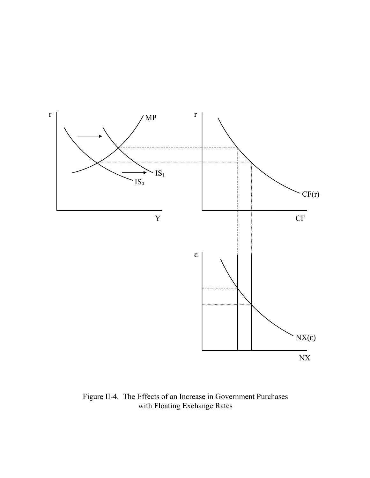

Figure II-4. The Effects of an Increase in Government Purchases with Floating Exchange Rates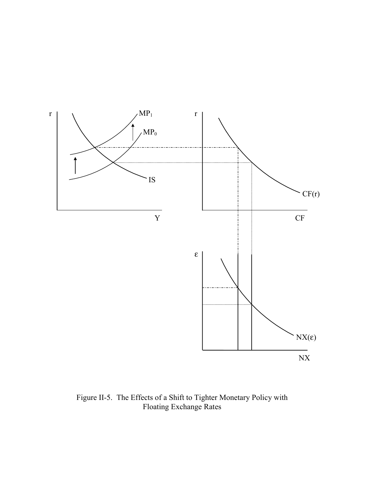

Figure II-5. The Effects of a Shift to Tighter Monetary Policy with Floating Exchange Rates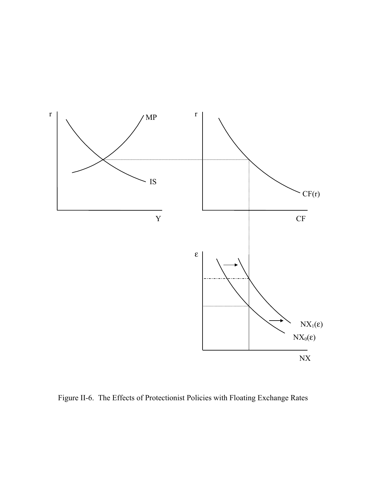

Figure II-6. The Effects of Protectionist Policies with Floating Exchange Rates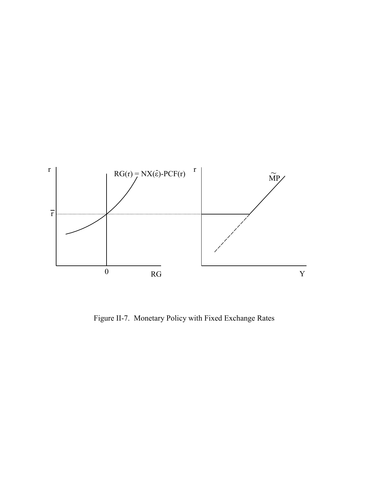

Figure II-7. Monetary Policy with Fixed Exchange Rates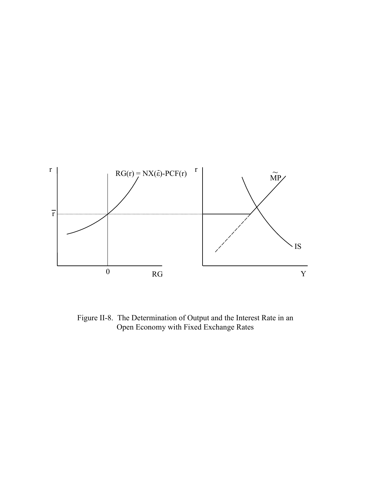

Figure II-8. The Determination of Output and the Interest Rate in an Open Economy with Fixed Exchange Rates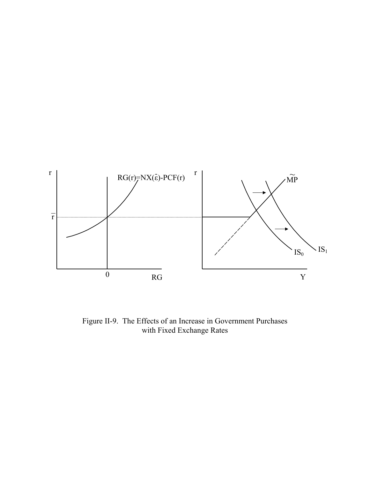

Figure II-9. The Effects of an Increase in Government Purchases with Fixed Exchange Rates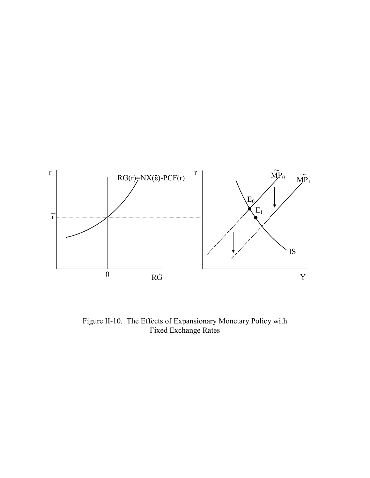

Figure II-10. The Effects of Expansionary Monetary Policy with Fixed Exchange Rates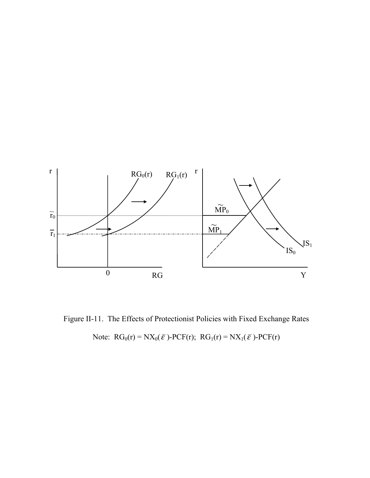

Figure II-11. The Effects of Protectionist Policies with Fixed Exchange Rates

Note:  $RG_0(r) = NX_0(\bar{\varepsilon})$ -PCF(r);  $RG_1(r) = NX_1(\bar{\varepsilon})$ -PCF(r)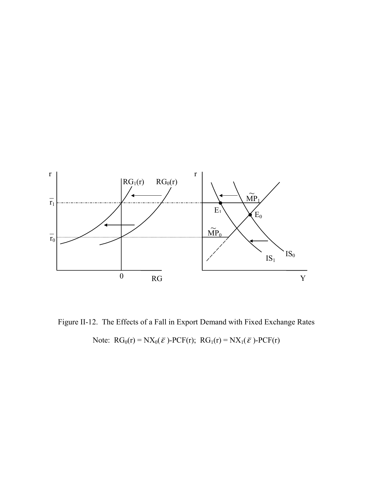

Figure II-12. The Effects of a Fall in Export Demand with Fixed Exchange Rates Note:  $RG_0(r) = N X_0(\bar{\varepsilon}) - PCF(r)$ ;  $RG_1(r) = N X_1(\bar{\varepsilon}) - PCF(r)$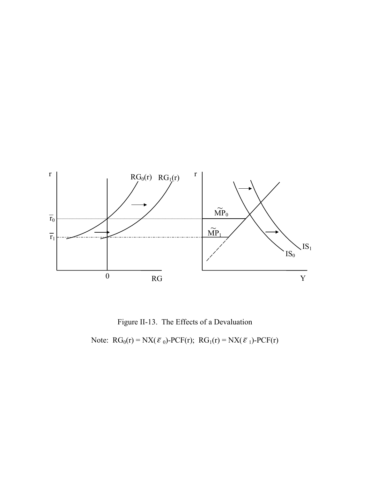

Figure II-13. The Effects of a Devaluation

Note:  $RG_0(r) = N X(\bar{\varepsilon}_0) - PCF(r); RG_1(r) = N X(\bar{\varepsilon}_1) - PCF(r)$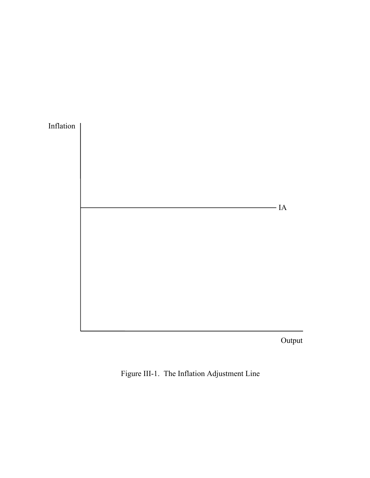

Output

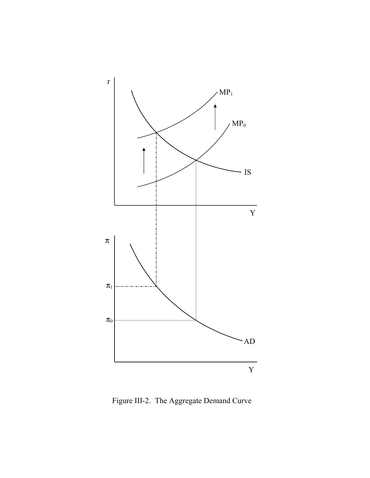

Figure III-2. The Aggregate Demand Curve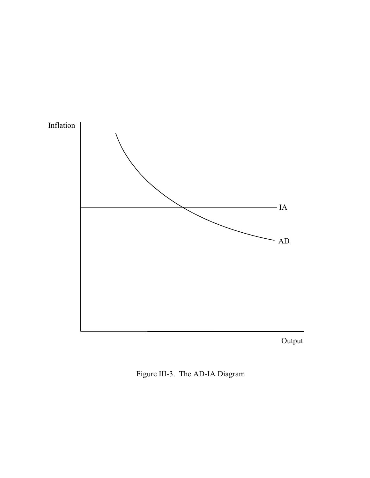

Output

Figure III-3. The AD-IA Diagram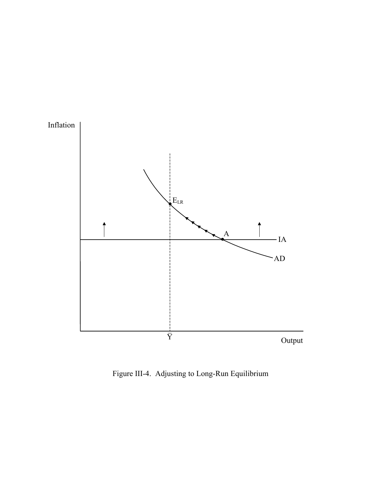

Figure III-4. Adjusting to Long-Run Equilibrium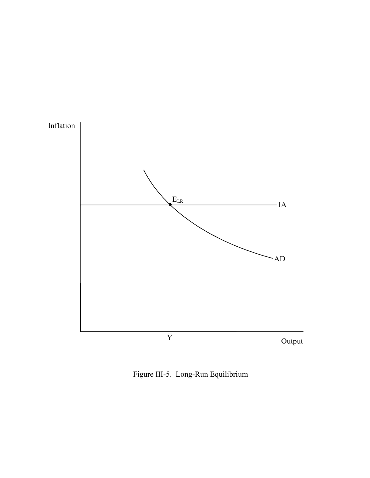

Figure III-5. Long-Run Equilibrium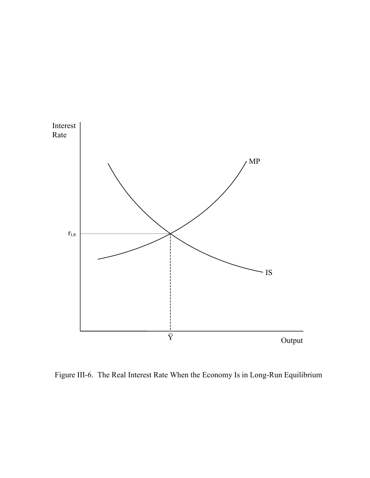

Figure III-6. The Real Interest Rate When the Economy Is in Long-Run Equilibrium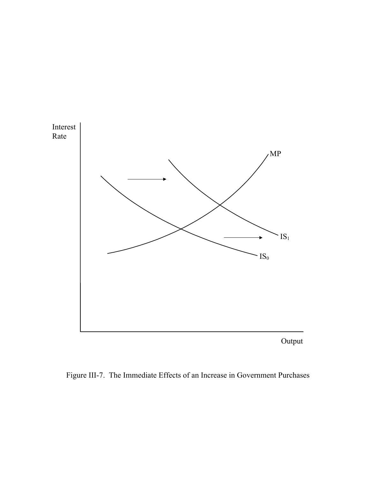

Output

Figure III-7. The Immediate Effects of an Increase in Government Purchases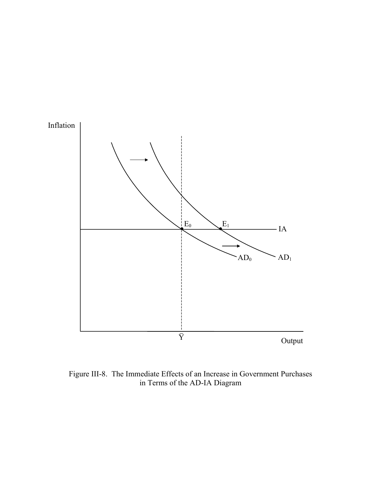

Figure III-8. The Immediate Effects of an Increase in Government Purchases in Terms of the AD-IA Diagram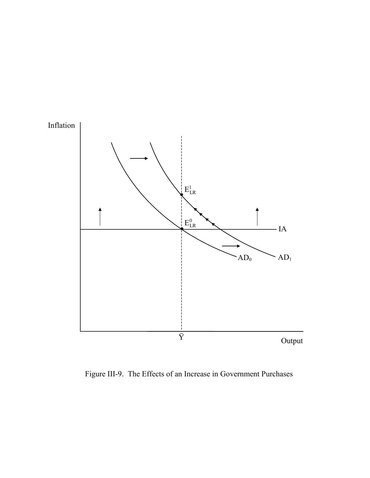

Figure III-9. The Effects of an Increase in Government Purchases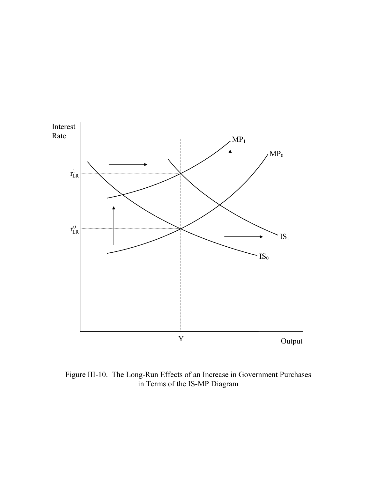

Figure III-10. The Long-Run Effects of an Increase in Government Purchases in Terms of the IS-MP Diagram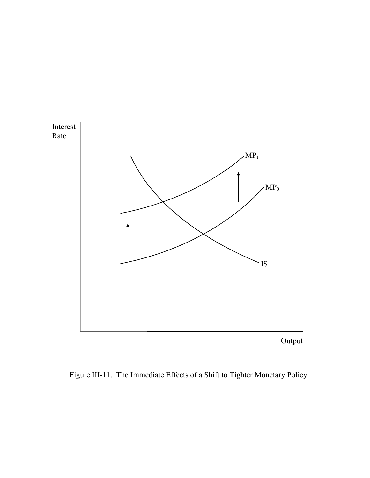

Output

Figure III-11. The Immediate Effects of a Shift to Tighter Monetary Policy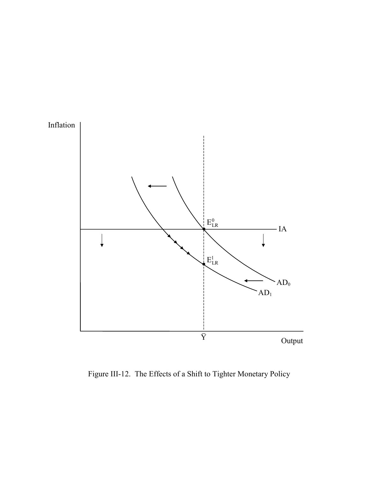

Figure III-12. The Effects of a Shift to Tighter Monetary Policy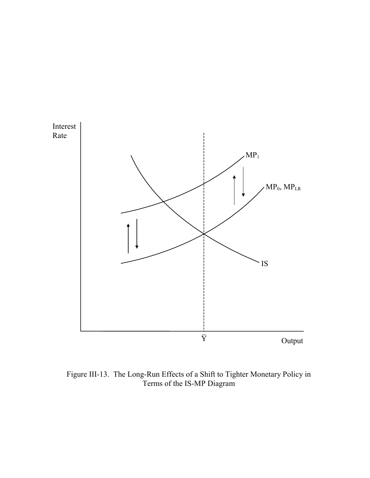

Figure III-13. The Long-Run Effects of a Shift to Tighter Monetary Policy in Terms of the IS-MP Diagram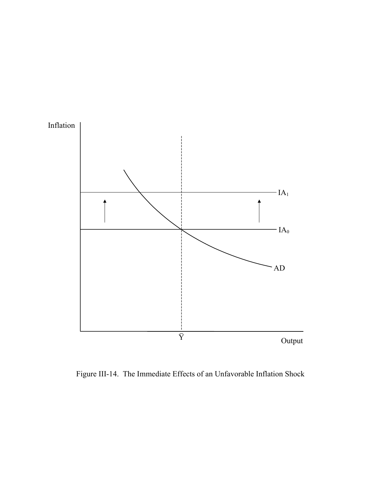

Figure III-14. The Immediate Effects of an Unfavorable Inflation Shock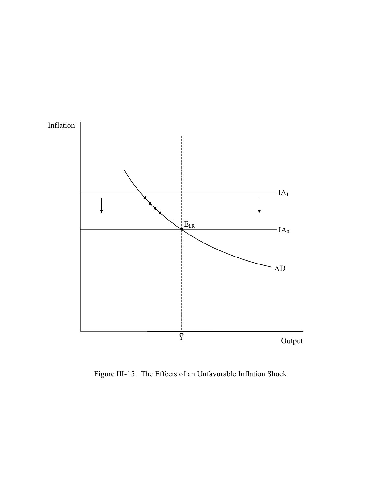

Figure III-15. The Effects of an Unfavorable Inflation Shock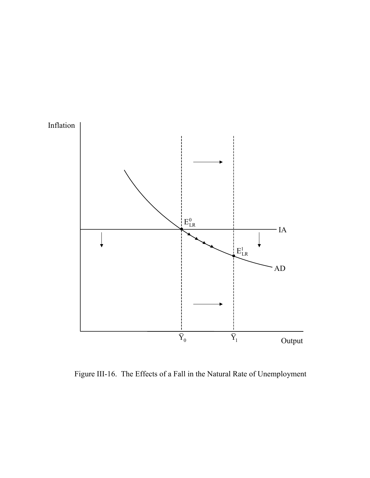

Figure III-16. The Effects of a Fall in the Natural Rate of Unemployment